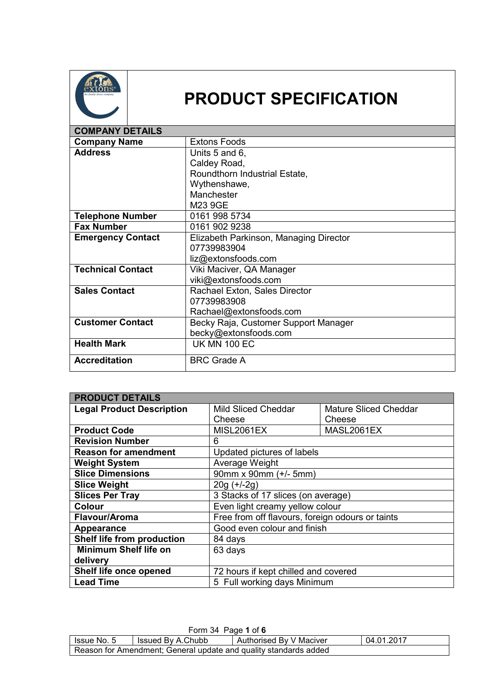

## **PRODUCT SPECIFICATION**

| <b>COMPANY DETAILS</b>   |                                        |
|--------------------------|----------------------------------------|
| <b>Company Name</b>      | <b>Extons Foods</b>                    |
| <b>Address</b>           | Units 5 and 6,                         |
|                          | Caldey Road,                           |
|                          | Roundthorn Industrial Estate,          |
|                          | Wythenshawe,                           |
|                          | Manchester                             |
|                          | M23 9GE                                |
| <b>Telephone Number</b>  | 0161 998 5734                          |
| <b>Fax Number</b>        | 0161 902 9238                          |
| <b>Emergency Contact</b> | Elizabeth Parkinson, Managing Director |
|                          | 07739983904                            |
|                          | liz@extonsfoods.com                    |
| <b>Technical Contact</b> | Viki Maciver, QA Manager               |
|                          | viki@extonsfoods.com                   |
| <b>Sales Contact</b>     | Rachael Exton, Sales Director          |
|                          | 07739983908                            |
|                          | Rachael@extonsfoods.com                |
| <b>Customer Contact</b>  | Becky Raja, Customer Support Manager   |
|                          | becky@extonsfoods.com                  |
| <b>Health Mark</b>       | <b>UK MN 100 EC</b>                    |
| <b>Accreditation</b>     | <b>BRC Grade A</b>                     |

| <b>PRODUCT DETAILS</b>           |                                                  |                              |  |
|----------------------------------|--------------------------------------------------|------------------------------|--|
| <b>Legal Product Description</b> | <b>Mild Sliced Cheddar</b>                       | <b>Mature Sliced Cheddar</b> |  |
|                                  | Cheese                                           | Cheese                       |  |
| <b>Product Code</b>              | <b>MISL2061EX</b>                                | MASL2061EX                   |  |
| <b>Revision Number</b>           | 6                                                |                              |  |
| <b>Reason for amendment</b>      | Updated pictures of labels                       |                              |  |
| <b>Weight System</b>             | Average Weight                                   |                              |  |
| <b>Slice Dimensions</b>          | 90mm x 90mm (+/- 5mm)                            |                              |  |
| <b>Slice Weight</b>              | $20g (+/-2g)$                                    |                              |  |
| <b>Slices Per Tray</b>           | 3 Stacks of 17 slices (on average)               |                              |  |
| <b>Colour</b>                    | Even light creamy yellow colour                  |                              |  |
| Flavour/Aroma                    | Free from off flavours, foreign odours or taints |                              |  |
| Appearance                       | Good even colour and finish                      |                              |  |
| Shelf life from production       | 84 days                                          |                              |  |
| <b>Minimum Shelf life on</b>     | 63 days                                          |                              |  |
| delivery                         |                                                  |                              |  |
| Shelf life once opened           | 72 hours if kept chilled and covered             |                              |  |
| <b>Lead Time</b>                 | 5 Full working days Minimum                      |                              |  |

| Form 34 Page 1 of 6                                                         |  |  |  |
|-----------------------------------------------------------------------------|--|--|--|
| 04.01.2017<br>Issued By A.Chubb<br>Authorised By V Maciver<br>I Issue No. 5 |  |  |  |
| Reason for Amendment; General update and quality standards added            |  |  |  |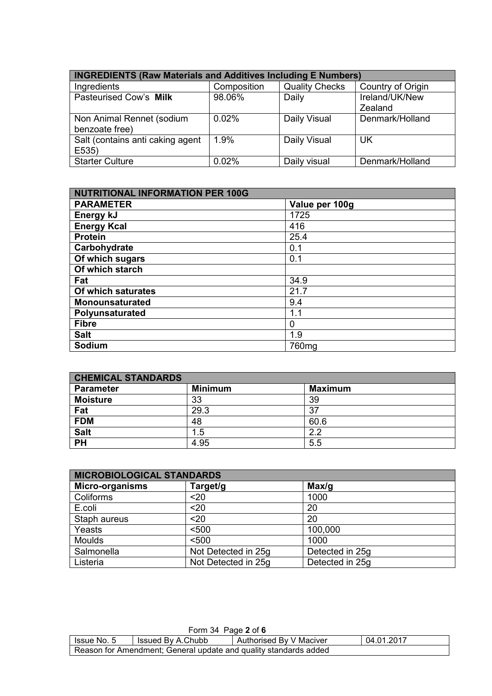| <b>INGREDIENTS (Raw Materials and Additives Including E Numbers)</b> |             |                       |                           |
|----------------------------------------------------------------------|-------------|-----------------------|---------------------------|
| Ingredients                                                          | Composition | <b>Quality Checks</b> | Country of Origin         |
| Pasteurised Cow's Milk                                               | 98.06%      | Daily                 | Ireland/UK/New<br>Zealand |
| Non Animal Rennet (sodium<br>benzoate free)                          | 0.02%       | Daily Visual          | Denmark/Holland           |
| Salt (contains anti caking agent<br>E535)                            | 1.9%        | Daily Visual          | <b>UK</b>                 |
| <b>Starter Culture</b>                                               | 0.02%       | Daily visual          | Denmark/Holland           |

| <b>NUTRITIONAL INFORMATION PER 100G</b> |                   |  |
|-----------------------------------------|-------------------|--|
| <b>PARAMETER</b>                        | Value per 100g    |  |
| Energy kJ                               | 1725              |  |
| <b>Energy Kcal</b>                      | 416               |  |
| <b>Protein</b>                          | 25.4              |  |
| Carbohydrate                            | 0.1               |  |
| Of which sugars                         | 0.1               |  |
| Of which starch                         |                   |  |
| Fat                                     | 34.9              |  |
| Of which saturates                      | 21.7              |  |
| <b>Monounsaturated</b>                  | 9.4               |  |
| Polyunsaturated                         | 1.1               |  |
| <b>Fibre</b>                            | 0                 |  |
| <b>Salt</b>                             | 1.9               |  |
| Sodium                                  | 760 <sub>mg</sub> |  |

| <b>CHEMICAL STANDARDS</b> |                |                |  |
|---------------------------|----------------|----------------|--|
| <b>Parameter</b>          | <b>Minimum</b> | <b>Maximum</b> |  |
| <b>Moisture</b>           | 33             | 39             |  |
| Fat                       | 29.3           | 37             |  |
| <b>FDM</b>                | 48             | 60.6           |  |
| <b>Salt</b>               | 1.5            | 22             |  |
| <b>PH</b>                 | 4.95           | 5.5            |  |

| <b>MICROBIOLOGICAL STANDARDS</b> |                     |                 |  |
|----------------------------------|---------------------|-----------------|--|
| <b>Micro-organisms</b>           | Target/g            | Max/g           |  |
| Coliforms                        | $20$                | 1000            |  |
| E.coli                           | $20$                | 20              |  |
| Staph aureus                     | $20$                | 20              |  |
| Yeasts                           | < 500               | 100,000         |  |
| <b>Moulds</b>                    | < 500               | 1000            |  |
| Salmonella                       | Not Detected in 25g | Detected in 25g |  |
| Listeria                         | Not Detected in 25g | Detected in 25g |  |

| Form 34 Page 2 of 6                                                       |  |  |  |
|---------------------------------------------------------------------------|--|--|--|
| 04.01.2017<br>Authorised By V Maciver<br>Issued By A.Chubb<br>Issue No. 5 |  |  |  |
| Reason for Amendment; General update and quality standards added          |  |  |  |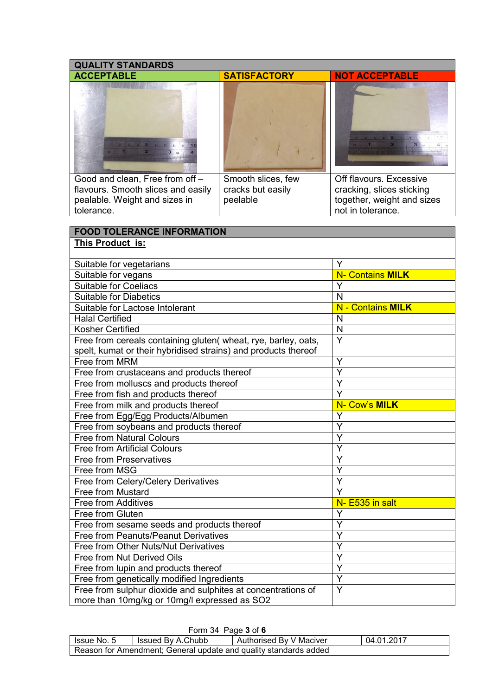| <b>QUALITY STANDARDS</b>                                                                                                         |                     |                                                                  |  |
|----------------------------------------------------------------------------------------------------------------------------------|---------------------|------------------------------------------------------------------|--|
| <b>ACCEPTABLE</b>                                                                                                                | <b>SATISFACTORY</b> | <b>NOT ACCEPTABLE</b>                                            |  |
| <b>The New York Company</b><br>1 2 3 4 5 6 7 8 9                                                                                 |                     | 1 2 3 4 5 8 7<br>$\mathbf{1}$ 1 $\mathbf{2}$ 1<br>3 <sub>0</sub> |  |
| Good and clean, Free from off -                                                                                                  | Smooth slices, few  | Off flavours. Excessive                                          |  |
| flavours. Smooth slices and easily                                                                                               | cracks but easily   | cracking, slices sticking                                        |  |
| pealable. Weight and sizes in                                                                                                    | peelable            | together, weight and sizes                                       |  |
| tolerance.                                                                                                                       |                     | not in tolerance.                                                |  |
|                                                                                                                                  |                     |                                                                  |  |
| <b>FOOD TOLERANCE INFORMATION</b>                                                                                                |                     |                                                                  |  |
| This Product is:                                                                                                                 |                     |                                                                  |  |
|                                                                                                                                  |                     |                                                                  |  |
| Suitable for vegetarians                                                                                                         |                     | Y                                                                |  |
| Suitable for vegans                                                                                                              |                     | <b>N- Contains MILK</b>                                          |  |
| <b>Suitable for Coeliacs</b>                                                                                                     |                     | Y                                                                |  |
| <b>Suitable for Diabetics</b>                                                                                                    |                     | N                                                                |  |
| Suitable for Lactose Intolerant                                                                                                  |                     | - Contains MILK<br>N                                             |  |
| <b>Halal Certified</b>                                                                                                           |                     | N                                                                |  |
| Kosher Certified                                                                                                                 |                     | $\mathsf{N}$<br>Y                                                |  |
| Free from cereals containing gluten( wheat, rye, barley, oats,<br>spelt, kumat or their hybridised strains) and products thereof |                     |                                                                  |  |
| Free from MRM                                                                                                                    |                     | Y                                                                |  |
| Free from crustaceans and products thereof                                                                                       |                     | $\overline{\mathsf{Y}}$                                          |  |
| Free from molluscs and products thereof                                                                                          | Y                   |                                                                  |  |
| Free from fish and products thereof                                                                                              | Y                   |                                                                  |  |
| Free from milk and products thereof                                                                                              | N- Cow's MILK       |                                                                  |  |
| Free from Egg/Egg Products/Albumen                                                                                               | Y                   |                                                                  |  |
| Free from soybeans and products thereof                                                                                          |                     | Ý                                                                |  |
| <b>Free from Natural Colours</b>                                                                                                 |                     | Υ                                                                |  |
| <b>Free from Artificial Colours</b>                                                                                              |                     | Y                                                                |  |
| <b>Free from Preservatives</b>                                                                                                   |                     | Y                                                                |  |
| Free from MSG                                                                                                                    |                     | Y                                                                |  |
| Free from Celery/Celery Derivatives                                                                                              |                     | Y                                                                |  |
| Free from Mustard                                                                                                                | Y                   |                                                                  |  |
| Free from Additives                                                                                                              | N- E535 in salt     |                                                                  |  |
| Free from Gluten                                                                                                                 | Y                   |                                                                  |  |
| Free from sesame seeds and products thereof                                                                                      | Y                   |                                                                  |  |
| Free from Peanuts/Peanut Derivatives                                                                                             | Ý                   |                                                                  |  |
| Free from Other Nuts/Nut Derivatives                                                                                             |                     | Y                                                                |  |
| Free from Nut Derived Oils                                                                                                       | Y                   |                                                                  |  |
| Free from lupin and products thereof                                                                                             | Y                   |                                                                  |  |
| Free from genetically modified Ingredients                                                                                       |                     | Y                                                                |  |
| Free from sulphur dioxide and sulphites at concentrations of                                                                     |                     | Y                                                                |  |
| more than 10mg/kg or 10mg/l expressed as SO2                                                                                     |                     |                                                                  |  |

| Form 34 Page 3 of 6                                              |                   |                         |            |
|------------------------------------------------------------------|-------------------|-------------------------|------------|
| lssue No. 5                                                      | Issued By A.Chubb | Authorised By V Maciver | 04.01.2017 |
| Reason for Amendment; General update and quality standards added |                   |                         |            |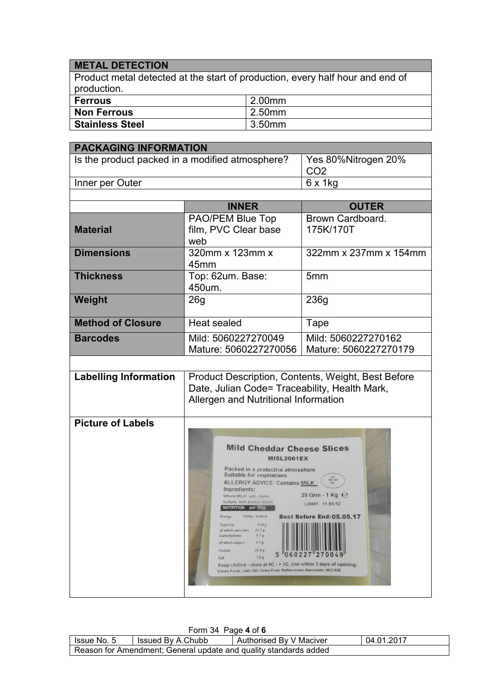## **METAL DETECTION**

Product metal detected at the start of production, every half hour and end of production.

| Ferrous         | 2.00mm |
|-----------------|--------|
| Non Ferrous     | 2.50mm |
| Stainless Steel | 3.50mm |

| <b>PACKAGING INFORMATION</b>                    |                                                                                                                                                                                                                                                                                                                                                                                                                                                                                                                                                                                                                      |                                                                                                                                                                                                         |
|-------------------------------------------------|----------------------------------------------------------------------------------------------------------------------------------------------------------------------------------------------------------------------------------------------------------------------------------------------------------------------------------------------------------------------------------------------------------------------------------------------------------------------------------------------------------------------------------------------------------------------------------------------------------------------|---------------------------------------------------------------------------------------------------------------------------------------------------------------------------------------------------------|
| Is the product packed in a modified atmosphere? |                                                                                                                                                                                                                                                                                                                                                                                                                                                                                                                                                                                                                      | Yes 80%Nitrogen 20%<br>CO <sub>2</sub>                                                                                                                                                                  |
| Inner per Outer                                 |                                                                                                                                                                                                                                                                                                                                                                                                                                                                                                                                                                                                                      | $6 \times 1$ kg                                                                                                                                                                                         |
|                                                 |                                                                                                                                                                                                                                                                                                                                                                                                                                                                                                                                                                                                                      |                                                                                                                                                                                                         |
|                                                 | <b>INNER</b>                                                                                                                                                                                                                                                                                                                                                                                                                                                                                                                                                                                                         | <b>OUTER</b>                                                                                                                                                                                            |
| <b>Material</b>                                 | PAO/PEM Blue Top<br>film, PVC Clear base<br>web                                                                                                                                                                                                                                                                                                                                                                                                                                                                                                                                                                      | Brown Cardboard.<br>175K/170T                                                                                                                                                                           |
| <b>Dimensions</b>                               | 320mm x 123mm x<br>45 <sub>mm</sub>                                                                                                                                                                                                                                                                                                                                                                                                                                                                                                                                                                                  | 322mm x 237mm x 154mm                                                                                                                                                                                   |
| <b>Thickness</b>                                | Top: 62um. Base:<br>450um.                                                                                                                                                                                                                                                                                                                                                                                                                                                                                                                                                                                           | 5 <sub>mm</sub>                                                                                                                                                                                         |
| Weight                                          | 26 <sub>g</sub>                                                                                                                                                                                                                                                                                                                                                                                                                                                                                                                                                                                                      | 236g                                                                                                                                                                                                    |
| <b>Method of Closure</b>                        | <b>Heat sealed</b>                                                                                                                                                                                                                                                                                                                                                                                                                                                                                                                                                                                                   | Tape                                                                                                                                                                                                    |
| <b>Barcodes</b>                                 | Mild: 5060227270049<br>Mature: 5060227270056                                                                                                                                                                                                                                                                                                                                                                                                                                                                                                                                                                         | Mild: 5060227270162<br>Mature: 5060227270179                                                                                                                                                            |
|                                                 |                                                                                                                                                                                                                                                                                                                                                                                                                                                                                                                                                                                                                      |                                                                                                                                                                                                         |
| <b>Labelling Information</b>                    | Product Description, Contents, Weight, Best Before<br>Date, Julian Code= Traceability, Health Mark,<br>Allergen and Nutritional Information                                                                                                                                                                                                                                                                                                                                                                                                                                                                          |                                                                                                                                                                                                         |
| <b>Picture of Labels</b>                        | <b>Mild Cheddar Cheese Slices</b><br><b>MISL2061EX</b><br>Packed in a protective atmosphere<br>Suitable for vegetarians<br><b>ALLERGY ADVICE: Contains MILK</b><br>Ingredients:<br>Whole MILK, salt, starter<br>culture, non animal rennet.<br>NUTRITION per 100g<br>1725kj / 416kcal<br>Energy<br>34.9 g<br>Total Fat<br>of which saturates<br>21.7 g<br>0.1 <sub>g</sub><br>Carbohydrate<br>of which sugars<br>0.1 <sub>a</sub><br>25.4 g<br>Protein<br>1.9.9<br>Salt<br>Keep chilled - store at 0C - + 5C, Use within 3 days of opening.<br>Extons Foods, Units 586 Caldey Road, Wythenshawe, Manchester, M23 9GE | $\begin{array}{c} \vspace{0.08cm} \begin{array}{c} \vspace{0.08cm} \text{UW} \\ \text{MIN 100} \end{array} \end{array}$<br>20 Grm - 1 Kg $\Theta$<br>LO041 11:03:52<br><b>Best Before End: 05.05.17</b> |

| Form 34 Page 4 of 6                                              |                   |                         |            |  |  |
|------------------------------------------------------------------|-------------------|-------------------------|------------|--|--|
| Issue No. 5                                                      | Issued By A.Chubb | Authorised By V Maciver | 04.01.2017 |  |  |
| Reason for Amendment; General update and quality standards added |                   |                         |            |  |  |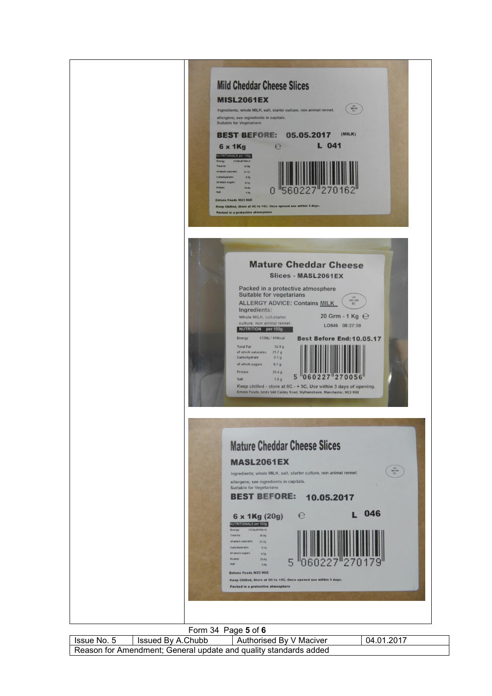

| Issue No. 5                                                      | Issued By A.Chubb | Authorised By V Maciver | 04.01.2017 |  |
|------------------------------------------------------------------|-------------------|-------------------------|------------|--|
| Reason for Amendment; General update and quality standards added |                   |                         |            |  |